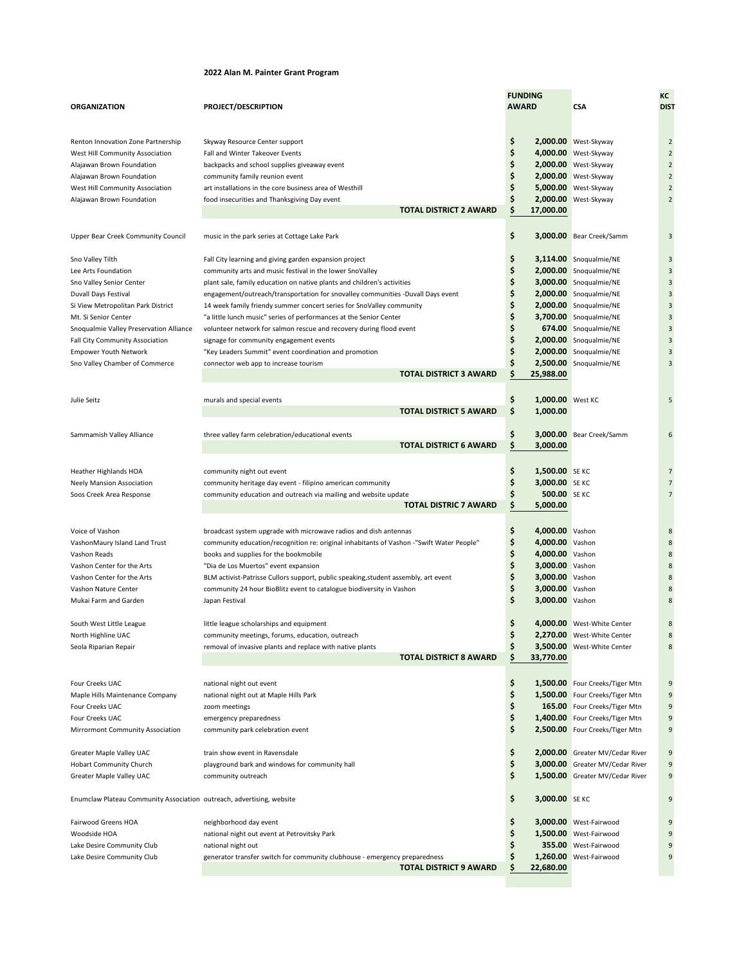## **2022 Alan M. Painter Grant Program**

| <b>ORGANIZATION</b>                                                                                                                                                                                                                                                                                       | PROJECT/DESCRIPTION                                                                                                                                                                                                                                                                                                                                                                                                                                                                                                                                                                                                                                                                 | <b>FUNDING</b><br><b>AWARD</b>                                                                                                                                              | <b>CSA</b>                                                                                                                                                                                                                                                     | КC<br>DIS <sub>1</sub>                                                                                   |
|-----------------------------------------------------------------------------------------------------------------------------------------------------------------------------------------------------------------------------------------------------------------------------------------------------------|-------------------------------------------------------------------------------------------------------------------------------------------------------------------------------------------------------------------------------------------------------------------------------------------------------------------------------------------------------------------------------------------------------------------------------------------------------------------------------------------------------------------------------------------------------------------------------------------------------------------------------------------------------------------------------------|-----------------------------------------------------------------------------------------------------------------------------------------------------------------------------|----------------------------------------------------------------------------------------------------------------------------------------------------------------------------------------------------------------------------------------------------------------|----------------------------------------------------------------------------------------------------------|
| Renton Innovation Zone Partnership<br>West Hill Community Association<br>Alajawan Brown Foundation<br>Alajawan Brown Foundation<br>West Hill Community Association<br>Alajawan Brown Foundation                                                                                                           | Skyway Resource Center support<br>Fall and Winter Takeover Events<br>backpacks and school supplies giveaway event<br>community family reunion event<br>art installations in the core business area of Westhill<br>food insecurities and Thanksgiving Day event<br><b>TOTAL DISTRICT 2 AWARD</b>                                                                                                                                                                                                                                                                                                                                                                                     | \$<br>\$<br>\$<br>\$<br>Ś<br>\$<br>\$<br>17,000.00                                                                                                                          | 2,000.00 West-Skyway<br>4,000.00 West-Skyway<br>2,000.00 West-Skyway<br>2,000.00 West-Skyway<br>5,000.00 West-Skyway<br>2,000.00 West-Skyway                                                                                                                   | $\overline{2}$<br>$\overline{2}$<br>$\overline{2}$<br>$\overline{2}$<br>$\overline{2}$<br>$\overline{2}$ |
| Upper Bear Creek Community Council                                                                                                                                                                                                                                                                        | music in the park series at Cottage Lake Park                                                                                                                                                                                                                                                                                                                                                                                                                                                                                                                                                                                                                                       | \$                                                                                                                                                                          | 3,000.00 Bear Creek/Samm                                                                                                                                                                                                                                       | 3                                                                                                        |
| Sno Valley Tilth<br>Lee Arts Foundation<br>Sno Valley Senior Center<br>Duvall Days Festival<br>Si View Metropolitan Park District<br>Mt. Si Senior Center<br>Snoqualmie Valley Preservation Alliance<br>Fall City Community Association<br><b>Empower Youth Network</b><br>Sno Valley Chamber of Commerce | Fall City learning and giving garden expansion project<br>community arts and music festival in the lower SnoValley<br>plant sale, family education on native plants and children's activities<br>engagement/outreach/transportation for snovalley communities -Duvall Days event<br>14 week family friendy summer concert series for SnoValley community<br>"a little lunch music" series of performances at the Senior Center<br>volunteer network for salmon rescue and recovery during flood event<br>signage for community engagement events<br>"Key Leaders Summit" event coordination and promotion<br>connector web app to increase tourism<br><b>TOTAL DISTRICT 3 AWARD</b> | \$<br>\$<br>\$<br>\$<br>\$<br>\$<br>\$<br>\$<br>\$<br>Ś<br>25,988.00                                                                                                        | 3,114.00 Snoqualmie/NE<br>2,000.00 Snoqualmie/NE<br>3,000.00 Snoqualmie/NE<br>2,000.00 Snoqualmie/NE<br>2,000.00 Snoqualmie/NE<br>3,700.00 Snoqualmie/NE<br>674.00 Snoqualmie/NE<br>2,000.00 Snoqualmie/NE<br>2,000.00 Snoqualmie/NE<br>2,500.00 Snoqualmie/NE | 3<br>3<br>3<br>3<br>3<br>3<br>3<br>3<br>3<br>3                                                           |
| Julie Seitz                                                                                                                                                                                                                                                                                               | murals and special events<br><b>TOTAL DISTRICT 5 AWARD</b>                                                                                                                                                                                                                                                                                                                                                                                                                                                                                                                                                                                                                          | \$<br>1,000.00 West KC<br>\$<br>1,000.00                                                                                                                                    |                                                                                                                                                                                                                                                                | 5                                                                                                        |
| Sammamish Valley Alliance                                                                                                                                                                                                                                                                                 | three valley farm celebration/educational events<br><b>TOTAL DISTRICT 6 AWARD</b>                                                                                                                                                                                                                                                                                                                                                                                                                                                                                                                                                                                                   | \$<br>\$<br>3,000.00                                                                                                                                                        | 3,000.00 Bear Creek/Samm                                                                                                                                                                                                                                       | 6                                                                                                        |
| Heather Highlands HOA<br><b>Neely Mansion Association</b><br>Soos Creek Area Response                                                                                                                                                                                                                     | community night out event<br>community heritage day event - filipino american community<br>community education and outreach via mailing and website update<br><b>TOTAL DISTRIC 7 AWARD</b>                                                                                                                                                                                                                                                                                                                                                                                                                                                                                          | \$<br>1,500.00 SE KC<br>\$<br>3,000.00 SE KC<br>\$<br>500.00 SE KC<br>\$<br>5,000.00                                                                                        |                                                                                                                                                                                                                                                                | $\overline{7}$<br>$\overline{7}$<br>$\overline{7}$                                                       |
| Voice of Vashon<br>VashonMaury Island Land Trust<br>Vashon Reads<br>Vashon Center for the Arts<br>Vashon Center for the Arts<br>Vashon Nature Center<br>Mukai Farm and Garden                                                                                                                             | broadcast system upgrade with microwave radios and dish antennas<br>community education/recognition re: original inhabitants of Vashon -"Swift Water People"<br>books and supplies for the bookmobile<br>"Dia de Los Muertos" event expansion<br>BLM activist-Patrisse Cullors support, public speaking, student assembly, art event<br>community 24 hour BioBlitz event to catalogue biodiversity in Vashon<br>Japan Festival                                                                                                                                                                                                                                                      | \$<br>4,000.00 Vashon<br>\$<br>4,000.00 Vashon<br>\$<br>4,000.00 Vashon<br>\$<br>3,000.00 Vashon<br>\$<br>3,000.00 Vashon<br>\$<br>3,000.00 Vashon<br>\$<br>3,000.00 Vashon |                                                                                                                                                                                                                                                                | 8<br>8<br>8<br>8<br>8<br>8<br>8                                                                          |
| South West Little League<br>North Highline UAC<br>Seola Riparian Repair                                                                                                                                                                                                                                   | little league scholarships and equipment<br>community meetings, forums, education, outreach<br>removal of invasive plants and replace with native plants<br><b>TOTAL DISTRICT 8 AWARD</b>                                                                                                                                                                                                                                                                                                                                                                                                                                                                                           | \$<br>Ş<br>\$<br>\$<br>33,770.00                                                                                                                                            | 4,000.00 West-White Center<br>2,270.00 West-White Center<br>3,500.00 West-White Center                                                                                                                                                                         | 8<br>8                                                                                                   |
| Four Creeks UAC<br>Maple Hills Maintenance Company<br>Four Creeks UAC<br>Four Creeks UAC<br>Mirrormont Community Association                                                                                                                                                                              | national night out event<br>national night out at Maple Hills Park<br>zoom meetings<br>emergency preparedness<br>community park celebration event                                                                                                                                                                                                                                                                                                                                                                                                                                                                                                                                   | \$<br>\$<br>\$<br>\$<br>\$                                                                                                                                                  | 1,500.00 Four Creeks/Tiger Mtn<br>1,500.00 Four Creeks/Tiger Mtn<br>165.00 Four Creeks/Tiger Mtn<br>1,400.00 Four Creeks/Tiger Mtn<br>2,500.00 Four Creeks/Tiger Mtn                                                                                           | 9<br>9<br>9<br>9<br>9                                                                                    |
| Greater Maple Valley UAC<br><b>Hobart Community Church</b><br>Greater Maple Valley UAC                                                                                                                                                                                                                    | train show event in Ravensdale<br>playground bark and windows for community hall<br>community outreach                                                                                                                                                                                                                                                                                                                                                                                                                                                                                                                                                                              | \$<br>\$<br>\$                                                                                                                                                              | 2,000.00 Greater MV/Cedar River<br>3,000.00 Greater MV/Cedar River<br>1,500.00 Greater MV/Cedar River                                                                                                                                                          | 9<br>9<br>9                                                                                              |
| Enumclaw Plateau Community Association outreach, advertising, website                                                                                                                                                                                                                                     |                                                                                                                                                                                                                                                                                                                                                                                                                                                                                                                                                                                                                                                                                     | \$<br>3,000.00 SE KC                                                                                                                                                        |                                                                                                                                                                                                                                                                | 9                                                                                                        |
| Fairwood Greens HOA<br>Woodside HOA<br>Lake Desire Community Club<br>Lake Desire Community Club                                                                                                                                                                                                           | neighborhood day event<br>national night out event at Petrovitsky Park<br>national night out<br>generator transfer switch for community clubhouse - emergency preparedness<br>TOTAL DISTRICT 9 AWARD                                                                                                                                                                                                                                                                                                                                                                                                                                                                                | \$<br>\$<br>S<br>\$<br>22,680.00                                                                                                                                            | 3,000.00 West-Fairwood<br>1,500.00 West-Fairwood<br>355.00 West-Fairwood<br>1,260.00 West-Fairwood                                                                                                                                                             | 9<br>9<br>9<br>9                                                                                         |